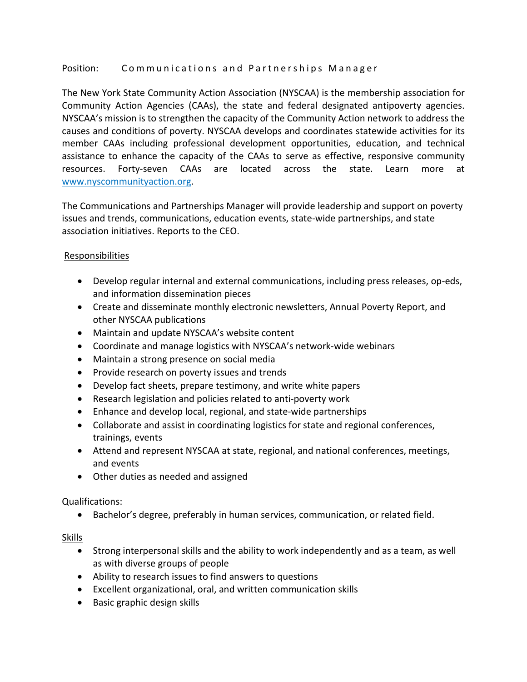## Position: Communications and Partnerships Manager

The New York State Community Action Association (NYSCAA) is the membership association for Community Action Agencies (CAAs), the state and federal designated antipoverty agencies. NYSCAA's mission is to strengthen the capacity of the Community Action network to address the causes and conditions of poverty. NYSCAA develops and coordinates statewide activities for its member CAAs including professional development opportunities, education, and technical assistance to enhance the capacity of the CAAs to serve as effective, responsive community resources. Forty-seven CAAs are located across the state. Learn more at www.nyscommunityaction.org.

The Communications and Partnerships Manager will provide leadership and support on poverty issues and trends, communications, education events, state-wide partnerships, and state association initiatives. Reports to the CEO.

# **Responsibilities**

- Develop regular internal and external communications, including press releases, op-eds, and information dissemination pieces
- Create and disseminate monthly electronic newsletters, Annual Poverty Report, and other NYSCAA publications
- Maintain and update NYSCAA's website content
- Coordinate and manage logistics with NYSCAA's network-wide webinars
- Maintain a strong presence on social media
- Provide research on poverty issues and trends
- Develop fact sheets, prepare testimony, and write white papers
- Research legislation and policies related to anti-poverty work
- Enhance and develop local, regional, and state-wide partnerships
- Collaborate and assist in coordinating logistics for state and regional conferences, trainings, events
- Attend and represent NYSCAA at state, regional, and national conferences, meetings, and events
- Other duties as needed and assigned

### Qualifications:

• Bachelor's degree, preferably in human services, communication, or related field.

### Skills

- Strong interpersonal skills and the ability to work independently and as a team, as well as with diverse groups of people
- Ability to research issues to find answers to questions
- Excellent organizational, oral, and written communication skills
- Basic graphic design skills